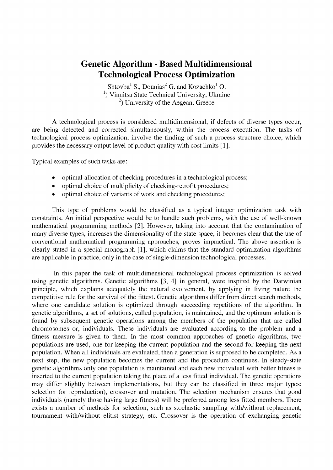## **Genetic Algorithm - Based Multidimensional Technological Process Optimization**

Shtovba<sup>1</sup> S., Dounias<sup>2</sup> G. and Kozachko<sup>1</sup> O.  $<sup>1</sup>$ ) Vinnitsa State Technical University, Ukraine</sup>  $^{2}$ ) University of the Aegean, Greece

A technological process is considered multidimensional, if defects of diverse types occur, are being detected and corrected simultaneously, within the process execution. The tasks of technological process optimization, involve the finding of such a process structure choice, which provides the necessary output level of product quality with cost limits [1].

Typical examples of such tasks are:

- optimal allocation of checking procedures in a technological process;
- optimal choice of multiplicity of checking-retrofit procedures;
- optimal choice of variants of work and checking procedures;

This type of problems would be classified as a typical integer optimization task with constraints. An initial perspective would be to handle such problems, with the use of well-known mathematical programming methods [2]. However, taking into account that the contamination of many diverse types, increases the dimensionality of the state space, it becomes clear that the use of conventional mathematical programming approaches, proves impractical. The above assertion is clearly stated in a special monograph [1], which claims that the standard optimization algorithms are applicable in practice, only in the case of single-dimension technological processes.

In this paper the task of multidimensional technological process optimization is solved using genetic algorithms. Genetic algorithms [3, 4] in general, were inspired by the Darwinian principle, which explains adequately the natural evolvement, by applying in living nature the competitive rule for the survival of the fittest. Genetic algorithms differ from direct search methods, where one candidate solution is optimized through succeeding repetitions of the algorithm. In genetic algorithms, a set of solutions, called population, is maintained, and the optimum solution is found by subsequent genetic operations among the members of the population that are called chromosomes or, individuals. These individuals are evaluated according to the problem and a fitness measure is given to them. In the most common approaches of genetic algorithms, two populations are used, one for keeping the current population and the second for keeping the next population. When all individuals are evaluated, then a generation is supposed to be completed. As a next step, the new population becomes the current and the procedure continues. In steady-state genetic algorithms only one population is maintained and each new individual with better fitness is inserted to the current population taking the place of a less fitted individual. The genetic operations may differ slightly between implementations, but they can be classified in three major types: selection (or reproduction), crossover and mutation. The selection mechanism ensures that good individuals (namely those having large fitness) will be preferred among less fitted members. There exists a number of methods for selection, such as stochastic sampling with/without replacement, tournament with/without elitist strategy, etc. Crossover is the operation of exchanging genetic